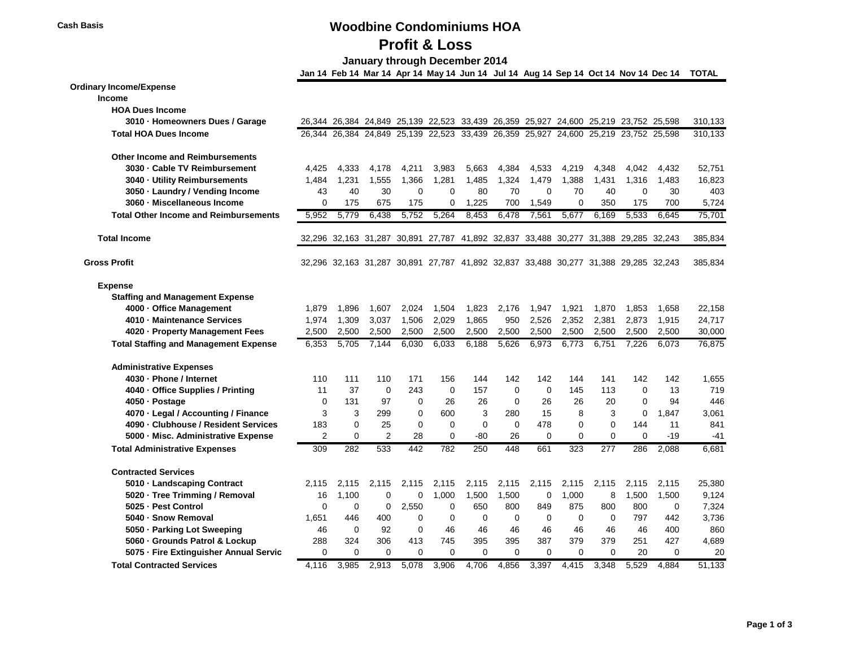#### **Cash Basis Woodbine Condominiums HOA**

# **Profit & Loss**

 **January through December 2014**

|                                              |                |             |             |             |              |          | Jan 14 Feb 14 Mar 14 Apr 14 May 14 Jun 14 Jul 14 Aug 14 Sep 14 Oct 14 Nov 14 Dec 14 |          |          |          |          |          | <b>TOTAL</b> |
|----------------------------------------------|----------------|-------------|-------------|-------------|--------------|----------|-------------------------------------------------------------------------------------|----------|----------|----------|----------|----------|--------------|
| <b>Ordinary Income/Expense</b>               |                |             |             |             |              |          |                                                                                     |          |          |          |          |          |              |
| Income                                       |                |             |             |             |              |          |                                                                                     |          |          |          |          |          |              |
| <b>HOA Dues Income</b>                       |                |             |             |             |              |          |                                                                                     |          |          |          |          |          |              |
| 3010 · Homeowners Dues / Garage              |                |             |             |             |              |          | 26,344 26,384 24,849 25,139 22,523 33,439 26,359 25,927 24,600 25,219 23,752 25,598 |          |          |          |          |          | 310,133      |
| <b>Total HOA Dues Income</b>                 |                |             |             |             |              |          | 26,344 26,384 24,849 25,139 22,523 33,439 26,359 25,927 24,600 25,219 23,752 25,598 |          |          |          |          |          | 310,133      |
| <b>Other Income and Reimbursements</b>       |                |             |             |             |              |          |                                                                                     |          |          |          |          |          |              |
| 3030 · Cable TV Reimbursement                | 4,425          | 4,333       | 4,178       | 4,211       | 3,983        | 5,663    | 4,384                                                                               | 4,533    | 4,219    | 4,348    | 4,042    | 4,432    | 52,751       |
| 3040 - Utility Reimbursements                | 1,484          | 1,231       | 1,555       | 1,366       | 1,281        | 1,485    | 1,324                                                                               | 1,479    | 1,388    | 1,431    | 1,316    | 1,483    | 16,823       |
| 3050 · Laundry / Vending Income              | 43             | 40          | 30          | $\mathbf 0$ | $\mathbf{0}$ | 80       | 70                                                                                  | $\Omega$ | 70       | 40       | 0        | 30       | 403          |
| 3060 · Miscellaneous Income                  | 0              | 175         | 675         | 175         | 0            | 1.225    | 700                                                                                 | 1.549    | $\Omega$ | 350      | 175      | 700      | 5,724        |
| <b>Total Other Income and Reimbursements</b> | 5,952          | 5,779       | 6,438       | 5,752       | 5,264        | 8,453    | 6,478                                                                               | 7,561    | 5,677    | 6,169    | 5,533    | 6,645    | 75,701       |
| <b>Total Income</b>                          |                |             |             |             |              |          | 32,296 32,163 31,287 30,891 27,787 41,892 32,837 33,488 30,277 31,388 29,285 32,243 |          |          |          |          |          | 385,834      |
| <b>Gross Profit</b>                          |                |             |             |             |              |          | 32,296 32,163 31,287 30,891 27,787 41,892 32,837 33,488 30,277 31,388 29,285 32,243 |          |          |          |          |          | 385,834      |
| <b>Expense</b>                               |                |             |             |             |              |          |                                                                                     |          |          |          |          |          |              |
| <b>Staffing and Management Expense</b>       |                |             |             |             |              |          |                                                                                     |          |          |          |          |          |              |
| 4000 - Office Management                     | 1,879          | 1,896       | 1,607       | 2,024       | 1,504        | 1,823    | 2,176                                                                               | 1,947    | 1,921    | 1,870    | 1,853    | 1,658    | 22,158       |
| 4010 - Maintenance Services                  | 1.974          | 1,309       | 3,037       | 1,506       | 2,029        | 1,865    | 950                                                                                 | 2,526    | 2,352    | 2,381    | 2,873    | 1,915    | 24,717       |
| 4020 · Property Management Fees              | 2,500          | 2,500       | 2,500       | 2,500       | 2,500        | 2,500    | 2,500                                                                               | 2,500    | 2,500    | 2,500    | 2,500    | 2,500    | 30,000       |
| <b>Total Staffing and Management Expense</b> | 6,353          | 5,705       | 7,144       | 6,030       | 6,033        | 6,188    | 5,626                                                                               | 6,973    | 6,773    | 6,751    | 7,226    | 6,073    | 76,875       |
| <b>Administrative Expenses</b>               |                |             |             |             |              |          |                                                                                     |          |          |          |          |          |              |
| 4030 · Phone / Internet                      | 110            | 111         | 110         | 171         | 156          | 144      | 142                                                                                 | 142      | 144      | 141      | 142      | 142      | 1,655        |
| 4040 - Office Supplies / Printing            | 11             | 37          | $\mathbf 0$ | 243         | 0            | 157      | 0                                                                                   | 0        | 145      | 113      | 0        | 13       | 719          |
| 4050 - Postage                               | 0              | 131         | 97          | 0           | 26           | 26       | $\mathbf 0$                                                                         | 26       | 26       | 20       | 0        | 94       | 446          |
| 4070 · Legal / Accounting / Finance          | 3              | 3           | 299         | 0           | 600          | 3        | 280                                                                                 | 15       | 8        | 3        | 0        | 1,847    | 3,061        |
| 4090 · Clubhouse / Resident Services         | 183            | 0           | 25          | 0           | 0            | 0        | 0                                                                                   | 478      | 0        | 0        | 144      | 11       | 841          |
| 5000 - Misc. Administrative Expense          | $\overline{2}$ | $\Omega$    | 2           | 28          | $\Omega$     | -80      | 26                                                                                  | $\Omega$ | $\Omega$ | $\Omega$ | $\Omega$ | -19      | $-41$        |
| <b>Total Administrative Expenses</b>         | 309            | 282         | 533         | 442         | 782          | 250      | 448                                                                                 | 661      | 323      | 277      | 286      | 2,088    | 6,681        |
| <b>Contracted Services</b>                   |                |             |             |             |              |          |                                                                                     |          |          |          |          |          |              |
| 5010 · Landscaping Contract                  | 2,115          | 2,115       | 2,115       | 2,115       | 2,115        | 2,115    | 2,115                                                                               | 2,115    | 2,115    | 2,115    | 2,115    | 2,115    | 25,380       |
| 5020 · Tree Trimming / Removal               | 16             | 1,100       | 0           | $\mathbf 0$ | 1,000        | 1,500    | 1,500                                                                               | 0        | 1,000    | 8        | 1,500    | 1,500    | 9,124        |
| 5025 - Pest Control                          | $\Omega$       | $\mathbf 0$ | $\mathbf 0$ | 2,550       | $\mathbf 0$  | 650      | 800                                                                                 | 849      | 875      | 800      | 800      | 0        | 7,324        |
| 5040 - Snow Removal                          | 1.651          | 446         | 400         | 0           | 0            | 0        | 0                                                                                   | $\Omega$ | 0        | 0        | 797      | 442      | 3,736        |
| 5050 · Parking Lot Sweeping                  | 46             | $\Omega$    | 92          | $\Omega$    | 46           | 46       | 46                                                                                  | 46       | 46       | 46       | 46       | 400      | 860          |
| 5060 - Grounds Patrol & Lockup               | 288            | 324         | 306         | 413         | 745          | 395      | 395                                                                                 | 387      | 379      | 379      | 251      | 427      | 4,689        |
| 5075 - Fire Extinguisher Annual Servic       | 0              | 0           | 0           | 0           | 0            | $\Omega$ | $\Omega$                                                                            | 0        | 0        | $\Omega$ | 20       | $\Omega$ | 20           |
| <b>Total Contracted Services</b>             | 4.116          | 3.985       | 2.913       | 5.078       | 3.906        | 4.706    | 4.856                                                                               | 3.397    | 4.415    | 3.348    | 5.529    | 4.884    | 51,133       |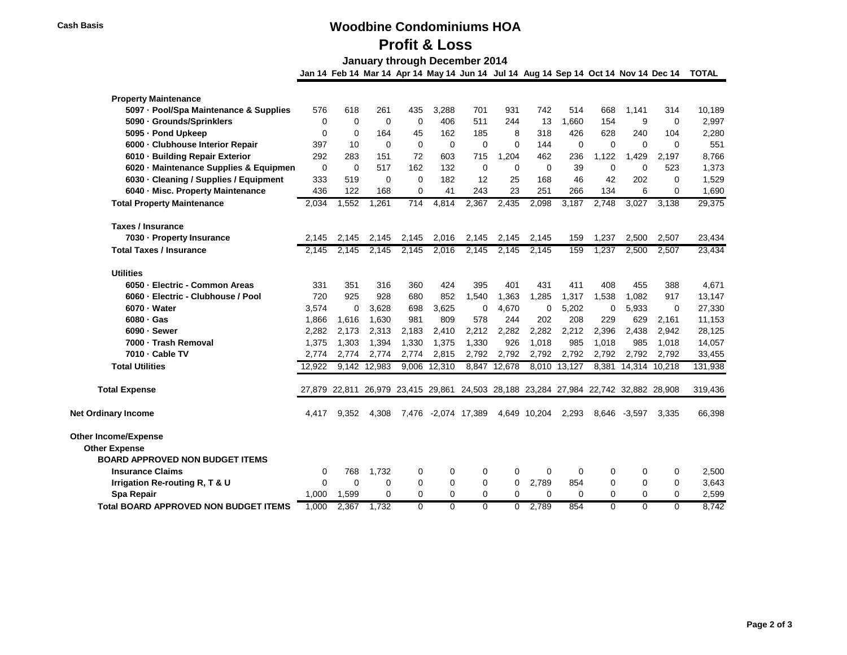#### **Cash Basis Woodbine Condominiums HOA**

# **Profit & Loss**

 **January through December 2014**

| <b>Property Maintenance</b>                         |             |             |              |          |          |                     |              |                                                                                     |              |          |               |          |         |
|-----------------------------------------------------|-------------|-------------|--------------|----------|----------|---------------------|--------------|-------------------------------------------------------------------------------------|--------------|----------|---------------|----------|---------|
| 5097 - Pool/Spa Maintenance & Supplies              | 576         | 618         | 261          | 435      | 3.288    | 701                 | 931          | 742                                                                                 | 514          | 668      | 1.141         | 314      | 10,189  |
| 5090 · Grounds/Sprinklers                           | 0           | $\Omega$    | $\Omega$     | $\Omega$ | 406      | 511                 | 244          | 13                                                                                  | 1.660        | 154      | 9             | $\Omega$ | 2,997   |
| 5095 - Pond Upkeep                                  | 0           | 0           | 164          | 45       | 162      | 185                 | 8            | 318                                                                                 | 426          | 628      | 240           | 104      | 2,280   |
| 6000 - Clubhouse Interior Repair                    | 397         | 10          | $\Omega$     | 0        | 0        | $\Omega$            | $\Omega$     | 144                                                                                 | 0            | $\Omega$ | $\Omega$      | $\Omega$ | 551     |
| 6010 · Building Repair Exterior                     | 292         | 283         | 151          | 72       | 603      | 715                 | 1,204        | 462                                                                                 | 236          | 1,122    | 1,429         | 2,197    | 8,766   |
| 6020 · Maintenance Supplies & Equipmen              | $\mathbf 0$ | $\mathbf 0$ | 517          | 162      | 132      | $\mathbf 0$         | $\mathbf 0$  | $\mathbf 0$                                                                         | 39           | $\Omega$ | 0             | 523      | 1,373   |
| 6030 · Cleaning / Supplies / Equipment              | 333         | 519         | 0            | 0        | 182      | 12                  | 25           | 168                                                                                 | 46           | 42       | 202           | 0        | 1,529   |
| 6040 - Misc. Property Maintenance                   | 436         | 122         | 168          | 0        | 41       | 243                 | 23           | 251                                                                                 | 266          | 134      | 6             | 0        | 1,690   |
| <b>Total Property Maintenance</b>                   | 2,034       | 1,552       | 1,261        | 714      | 4,814    | 2,367               | 2,435        | 2,098                                                                               | 3,187        | 2,748    | 3,027         | 3,138    | 29,375  |
| <b>Taxes / Insurance</b>                            |             |             |              |          |          |                     |              |                                                                                     |              |          |               |          |         |
| 7030 - Property Insurance                           | 2,145       | 2,145       | 2,145        | 2,145    | 2,016    | 2,145               | 2,145        | 2,145                                                                               | 159          | 1,237    | 2,500         | 2,507    | 23,434  |
| <b>Total Taxes / Insurance</b>                      | 2.145       | 2,145       | 2,145        | 2,145    | 2,016    | 2,145               | 2,145        | 2,145                                                                               | 159          | 1,237    | 2,500         | 2,507    | 23,434  |
| <b>Utilities</b>                                    |             |             |              |          |          |                     |              |                                                                                     |              |          |               |          |         |
| 6050 - Electric - Common Areas                      | 331         | 351         | 316          | 360      | 424      | 395                 | 401          | 431                                                                                 | 411          | 408      | 455           | 388      | 4,671   |
| 6060 · Electric - Clubhouse / Pool                  | 720         | 925         | 928          | 680      | 852      | 1,540               | 1,363        | 1,285                                                                               | 1,317        | 1,538    | 1,082         | 917      | 13,147  |
| 6070 - Water                                        | 3,574       | $\mathbf 0$ | 3,628        | 698      | 3.625    | 0                   | 4,670        | 0                                                                                   | 5,202        | 0        | 5,933         | 0        | 27,330  |
| $6080 \cdot Gas$                                    | 1,866       | 1,616       | 1,630        | 981      | 809      | 578                 | 244          | 202                                                                                 | 208          | 229      | 629           | 2,161    | 11,153  |
| 6090 - Sewer                                        | 2,282       | 2,173       | 2,313        | 2,183    | 2,410    | 2,212               | 2,282        | 2,282                                                                               | 2,212        | 2,396    | 2,438         | 2,942    | 28,125  |
| 7000 - Trash Removal                                | 1,375       | 1,303       | 1,394        | 1,330    | 1,375    | 1,330               | 926          | 1,018                                                                               | 985          | 1,018    | 985           | 1,018    | 14,057  |
| 7010 - Cable TV                                     | 2,774       | 2.774       | 2,774        | 2,774    | 2,815    | 2,792               | 2,792        | 2,792                                                                               | 2.792        | 2,792    | 2,792         | 2.792    | 33,455  |
| <b>Total Utilities</b>                              | 12,922      |             | 9,142 12,983 | 9,006    | 12,310   |                     | 8,847 12,678 |                                                                                     | 8,010 13,127 | 8,381    | 14,314 10,218 |          | 131,938 |
| <b>Total Expense</b>                                |             |             |              |          |          |                     |              | 27,879 22,811 26,979 23,415 29,861 24,503 28,188 23,284 27,984 22,742 32,882 28,908 |              |          |               |          | 319,436 |
| <b>Net Ordinary Income</b>                          | 4.417       | 9,352       | 4,308        |          |          | 7,476 -2,074 17,389 |              | 4,649 10,204                                                                        | 2,293        | 8,646    | $-3,597$      | 3,335    | 66,398  |
| <b>Other Income/Expense</b><br><b>Other Expense</b> |             |             |              |          |          |                     |              |                                                                                     |              |          |               |          |         |
| <b>BOARD APPROVED NON BUDGET ITEMS</b>              |             |             |              |          |          |                     |              |                                                                                     |              |          |               |          |         |
| <b>Insurance Claims</b>                             | 0           | 768         | 1,732        | 0        | 0        | 0                   | 0            | 0                                                                                   | 0            | 0        | 0             | 0        | 2,500   |
| Irrigation Re-routing R, T & U                      | 0           | $\mathbf 0$ | 0            | 0        | 0        | 0                   | 0            | 2,789                                                                               | 854          | 0        | 0             | 0        | 3,643   |
| <b>Spa Repair</b>                                   | 1.000       | 1,599       | 0            | 0        | 0        | 0                   | 0            | 0                                                                                   | 0            | 0        | $\Omega$      | 0        | 2,599   |
| <b>Total BOARD APPROVED NON BUDGET ITEMS</b>        | 1.000       | 2.367       | 1.732        | $\Omega$ | $\Omega$ | $\Omega$            | 0            | 2.789                                                                               | 854          | $\Omega$ | $\Omega$      | $\Omega$ | 8.742   |